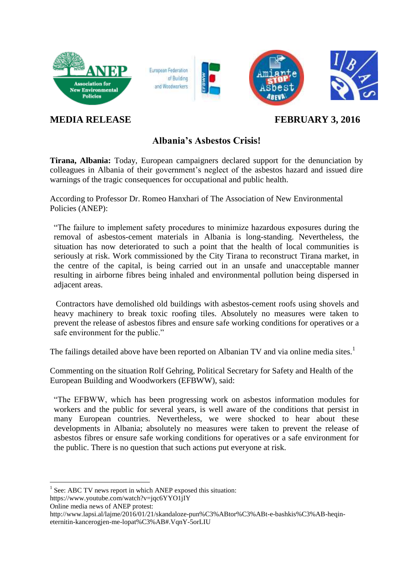

## **MEDIA RELEASE FEBRUARY 3, 2016**

## **Albania's Asbestos Crisis!**

**Tirana, Albania:** Today, European campaigners declared support for the denunciation by colleagues in Albania of their government's neglect of the asbestos hazard and issued dire warnings of the tragic consequences for occupational and public health.

According to Professor Dr. Romeo Hanxhari of The Association of New Environmental Policies (ANEP):

"The failure to implement safety procedures to minimize hazardous exposures during the removal of asbestos-cement materials in Albania is long-standing. Nevertheless, the situation has now deteriorated to such a point that the health of local communities is seriously at risk. Work commissioned by the City Tirana to reconstruct Tirana market, in the centre of the capital, is being carried out in an unsafe and unacceptable manner resulting in airborne fibres being inhaled and environmental pollution being dispersed in adjacent areas.

Contractors have demolished old buildings with asbestos-cement roofs using shovels and heavy machinery to break toxic roofing tiles. Absolutely no measures were taken to prevent the release of asbestos fibres and ensure safe working conditions for operatives or a safe environment for the public."

The failings detailed above have been reported on Albanian TV and via online media sites.<sup>1</sup>

Commenting on the situation Rolf Gehring, Political Secretary for Safety and Health of the European Building and Woodworkers (EFBWW), said:

"The EFBWW, which has been progressing work on asbestos information modules for workers and the public for several years, is well aware of the conditions that persist in many European countries. Nevertheless, we were shocked to hear about these developments in Albania; absolutely no measures were taken to prevent the release of asbestos fibres or ensure safe working conditions for operatives or a safe environment for the public. There is no question that such actions put everyone at risk.

1

<sup>&</sup>lt;sup>1</sup> See: ABC TV news report in which ANEP exposed this situation:

<https://www.youtube.com/watch?v=jqc6YYO1jIY>

Online media news of ANEP protest:

[http://www.lapsi.al/lajme/2016/01/21/skandaloze-pun%C3%ABtor%C3%ABt-e-bashkis%C3%AB-heqin](http://www.lapsi.al/lajme/2016/01/21/skandaloze-pun%C3%ABtor%C3%ABt-e-bashkis%C3%AB-heqin-eternitin-kancerogjen-me-lopat%C3%AB#.VqnY-5orLIU)[eternitin-kancerogjen-me-lopat%C3%AB#.VqnY-5orLIU](http://www.lapsi.al/lajme/2016/01/21/skandaloze-pun%C3%ABtor%C3%ABt-e-bashkis%C3%AB-heqin-eternitin-kancerogjen-me-lopat%C3%AB#.VqnY-5orLIU)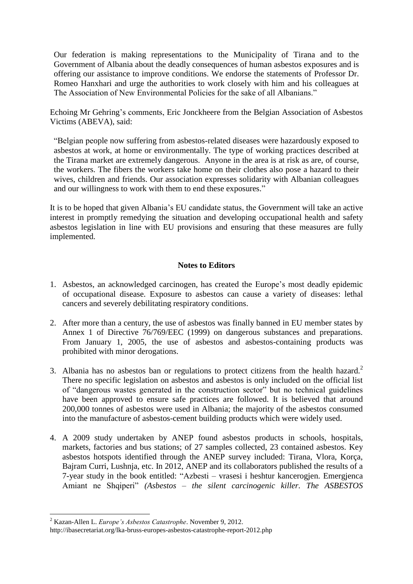Our federation is making representations to the Municipality of Tirana and to the Government of Albania about the deadly consequences of human asbestos exposures and is offering our assistance to improve conditions. We endorse the statements of Professor Dr. Romeo Hanxhari and urge the authorities to work closely with him and his colleagues at The Association of New Environmental Policies for the sake of all Albanians."

Echoing Mr Gehring's comments, Eric Jonckheere from the Belgian Association of Asbestos Victims (ABEVA), said:

"Belgian people now suffering from asbestos-related diseases were hazardously exposed to asbestos at work, at home or environmentally. The type of working practices described at the Tirana market are extremely dangerous. Anyone in the area is at risk as are, of course, the workers. The fibers the workers take home on their clothes also pose a hazard to their wives, children and friends. Our association expresses solidarity with Albanian colleagues and our willingness to work with them to end these exposures."

It is to be hoped that given Albania's EU candidate status, the Government will take an active interest in promptly remedying the situation and developing occupational health and safety asbestos legislation in line with EU provisions and ensuring that these measures are fully implemented.

## **Notes to Editors**

- 1. Asbestos, an acknowledged carcinogen, has created the Europe's most deadly epidemic of occupational disease. Exposure to asbestos can cause a variety of diseases: lethal cancers and severely debilitating respiratory conditions.
- 2. After more than a century, the use of asbestos was finally banned in EU member states by Annex 1 of Directive 76/769/EEC (1999) on dangerous substances and preparations. From January 1, 2005, the use of asbestos and asbestos-containing products was prohibited with minor derogations.
- 3. Albania has no asbestos ban or regulations to protect citizens from the health hazard.<sup>2</sup> There no specific legislation on asbestos and asbestos is only included on the official list of "dangerous wastes generated in the construction sector" but no technical guidelines have been approved to ensure safe practices are followed. It is believed that around 200,000 tonnes of asbestos were used in Albania; the majority of the asbestos consumed into the manufacture of asbestos-cement building products which were widely used.
- 4. A 2009 study undertaken by ANEP found asbestos products in schools, hospitals, markets, factories and bus stations; of 27 samples collected, 23 contained asbestos. Key asbestos hotspots identified through the ANEP survey included: Tirana, Vlora, Korça, Bajram Curri, Lushnja, etc. In 2012, ANEP and its collaborators published the results of a 7-year study in the book entitled: "Azbesti – vrasesi i heshtur kancerogjen. Emergjenca Amiant ne Shqiperi" *(Asbestos – the silent carcinogenic killer. The ASBESTOS*

<sup>1</sup> <sup>2</sup> Kazan-Allen L. *Europe's Asbestos Catastrophe*. November 9, 2012.

http://ibasecretariat.org/lka-bruss-europes-asbestos-catastrophe-report-2012.php